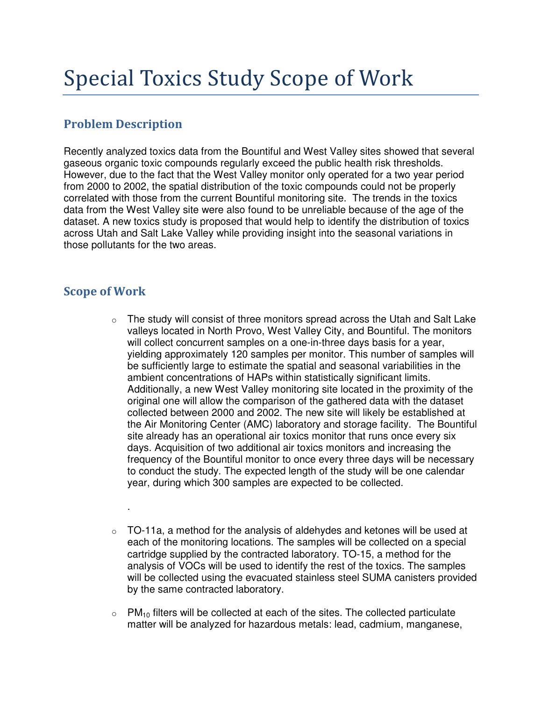# Special Toxics Study Scope of Work

## Problem Description

Recently analyzed toxics data from the Bountiful and West Valley sites showed that several gaseous organic toxic compounds regularly exceed the public health risk thresholds. However, due to the fact that the West Valley monitor only operated for a two year period from 2000 to 2002, the spatial distribution of the toxic compounds could not be properly correlated with those from the current Bountiful monitoring site. The trends in the toxics data from the West Valley site were also found to be unreliable because of the age of the dataset. A new toxics study is proposed that would help to identify the distribution of toxics across Utah and Salt Lake Valley while providing insight into the seasonal variations in those pollutants for the two areas.

### Scope of Work

.

- $\circ$  The study will consist of three monitors spread across the Utah and Salt Lake valleys located in North Provo, West Valley City, and Bountiful. The monitors will collect concurrent samples on a one-in-three days basis for a year, yielding approximately 120 samples per monitor. This number of samples will be sufficiently large to estimate the spatial and seasonal variabilities in the ambient concentrations of HAPs within statistically significant limits. Additionally, a new West Valley monitoring site located in the proximity of the original one will allow the comparison of the gathered data with the dataset collected between 2000 and 2002. The new site will likely be established at the Air Monitoring Center (AMC) laboratory and storage facility. The Bountiful site already has an operational air toxics monitor that runs once every six days. Acquisition of two additional air toxics monitors and increasing the frequency of the Bountiful monitor to once every three days will be necessary to conduct the study. The expected length of the study will be one calendar year, during which 300 samples are expected to be collected.
- $\circ$  TO-11a, a method for the analysis of aldehydes and ketones will be used at each of the monitoring locations. The samples will be collected on a special cartridge supplied by the contracted laboratory. TO-15, a method for the analysis of VOCs will be used to identify the rest of the toxics. The samples will be collected using the evacuated stainless steel SUMA canisters provided by the same contracted laboratory.
- $\circ$  PM<sub>10</sub> filters will be collected at each of the sites. The collected particulate matter will be analyzed for hazardous metals: lead, cadmium, manganese,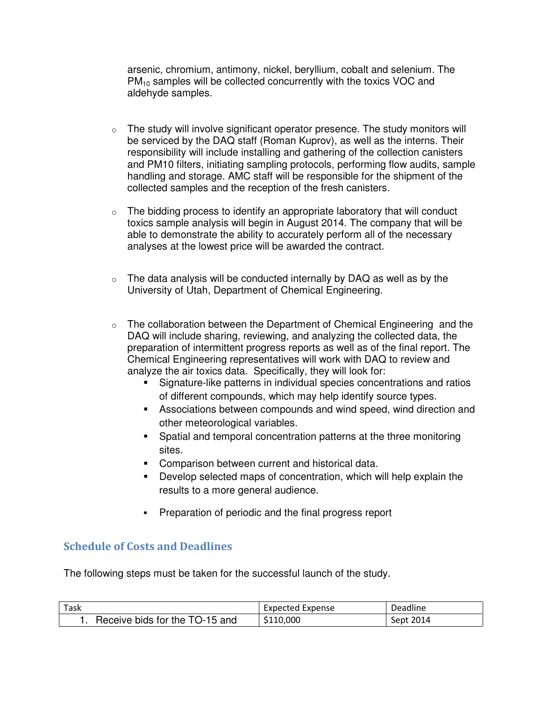arsenic, chromium, antimony, nickel, beryllium, cobalt and selenium. The PM<sub>10</sub> samples will be collected concurrently with the toxics VOC and aldehyde samples.

- $\circ$  The study will involve significant operator presence. The study monitors will be serviced by the DAQ staff (Roman Kuprov), as well as the interns. Their responsibility will include installing and gathering of the collection canisters and PM10 filters, initiating sampling protocols, performing flow audits, sample handling and storage. AMC staff will be responsible for the shipment of the collected samples and the reception of the fresh canisters.
- $\circ$  The bidding process to identify an appropriate laboratory that will conduct toxics sample analysis will begin in August 2014. The company that will be able to demonstrate the ability to accurately perform all of the necessary analyses at the lowest price will be awarded the contract.
- $\circ$  The data analysis will be conducted internally by DAQ as well as by the University of Utah, Department of Chemical Engineering.
- $\circ$  The collaboration between the Department of Chemical Engineering and the DAQ will include sharing, reviewing, and analyzing the collected data, the preparation of intermittent progress reports as well as of the final report. The Chemical Engineering representatives will work with DAQ to review and analyze the air toxics data. Specifically, they will look for:
	- Signature-like patterns in individual species concentrations and ratios of different compounds, which may help identify source types.
	- Associations between compounds and wind speed, wind direction and other meteorological variables.
	- **Spatial and temporal concentration patterns at the three monitoring** sites.
	- **Comparison between current and historical data.**
	- **Develop selected maps of concentration, which will help explain the** results to a more general audience.
	- **Preparation of periodic and the final progress report**

#### Schedule of Costs and Deadlines

The following steps must be taken for the successful launch of the study.

| Task                           | Expected Expense | Deadline  |
|--------------------------------|------------------|-----------|
| Receive bids for the TO-15 and | \$110,000        | Sept 2014 |